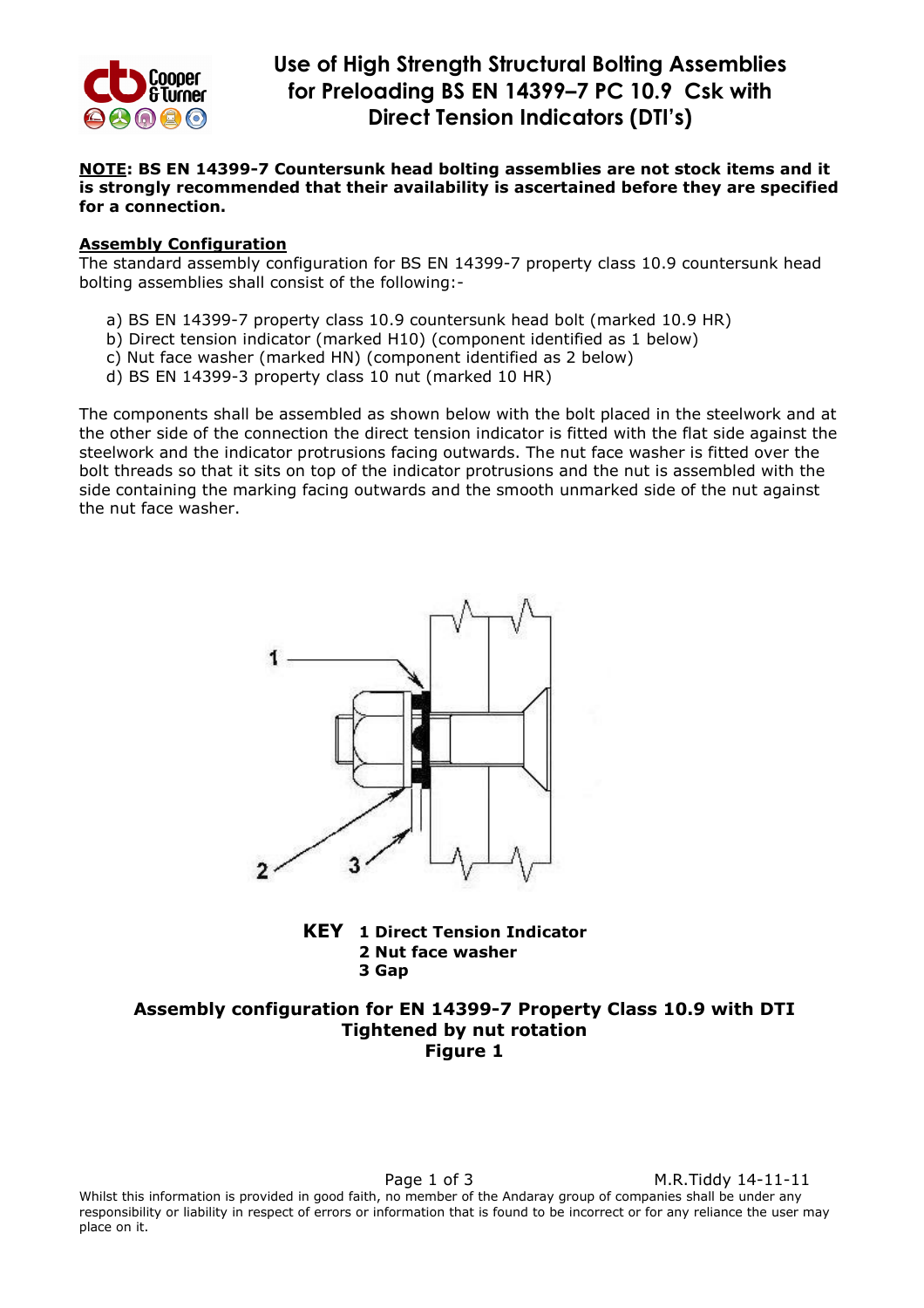

#### NOTE: BS EN 14399-7 Countersunk head bolting assemblies are not stock items and it is strongly recommended that their availability is ascertained before they are specified for a connection.

#### Assembly Configuration

The standard assembly configuration for BS EN 14399-7 property class 10.9 countersunk head bolting assemblies shall consist of the following:-

- a) BS EN 14399-7 property class 10.9 countersunk head bolt (marked 10.9 HR)
- b) Direct tension indicator (marked H10) (component identified as 1 below)
- c) Nut face washer (marked HN) (component identified as 2 below)
- d) BS EN 14399-3 property class 10 nut (marked 10 HR)

The components shall be assembled as shown below with the bolt placed in the steelwork and at the other side of the connection the direct tension indicator is fitted with the flat side against the steelwork and the indicator protrusions facing outwards. The nut face washer is fitted over the bolt threads so that it sits on top of the indicator protrusions and the nut is assembled with the side containing the marking facing outwards and the smooth unmarked side of the nut against the nut face washer.





# Assembly configuration for EN 14399-7 Property Class 10.9 with DTI Tightened by nut rotation Figure 1

Page 1 of 3 M.R.Tiddy 14-11-11 Whilst this information is provided in good faith, no member of the Andaray group of companies shall be under any responsibility or liability in respect of errors or information that is found to be incorrect or for any reliance the user may place on it.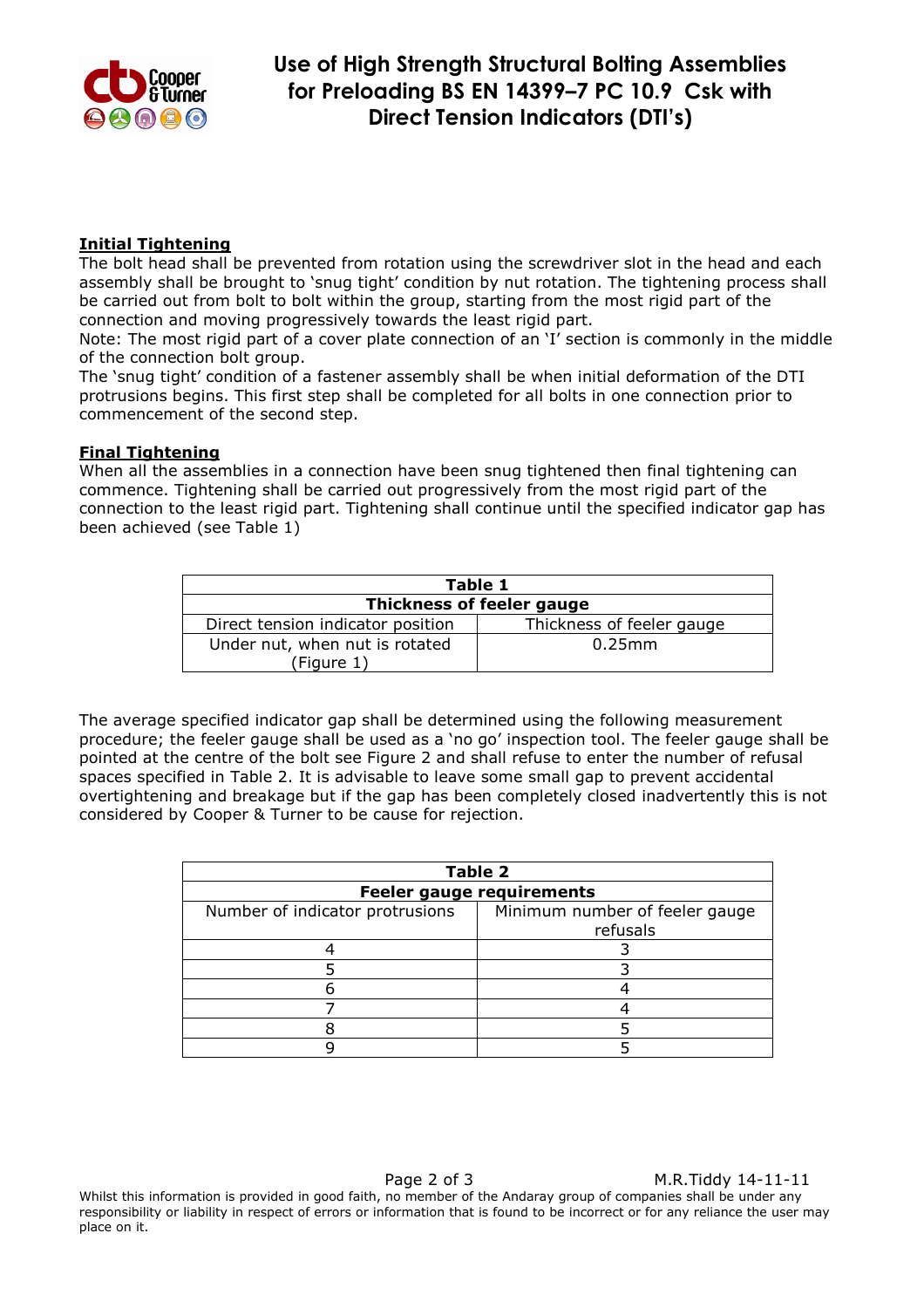

# Initial Tightening

The bolt head shall be prevented from rotation using the screwdriver slot in the head and each assembly shall be brought to 'snug tight' condition by nut rotation. The tightening process shall be carried out from bolt to bolt within the group, starting from the most rigid part of the connection and moving progressively towards the least rigid part.

Note: The most rigid part of a cover plate connection of an 'I' section is commonly in the middle of the connection bolt group.

The 'snug tight' condition of a fastener assembly shall be when initial deformation of the DTI protrusions begins. This first step shall be completed for all bolts in one connection prior to commencement of the second step.

### Final Tightening

When all the assemblies in a connection have been snug tightened then final tightening can commence. Tightening shall be carried out progressively from the most rigid part of the connection to the least rigid part. Tightening shall continue until the specified indicator gap has been achieved (see Table 1)

| Table 1                                      |                           |  |  |
|----------------------------------------------|---------------------------|--|--|
| <b>Thickness of feeler gauge</b>             |                           |  |  |
| Direct tension indicator position            | Thickness of feeler gauge |  |  |
| Under nut, when nut is rotated<br>(Figure 1) | $0.25$ mm                 |  |  |

The average specified indicator gap shall be determined using the following measurement procedure; the feeler gauge shall be used as a 'no go' inspection tool. The feeler gauge shall be pointed at the centre of the bolt see Figure 2 and shall refuse to enter the number of refusal spaces specified in Table 2. It is advisable to leave some small gap to prevent accidental overtightening and breakage but if the gap has been completely closed inadvertently this is not considered by Cooper & Turner to be cause for rejection.

| <b>Table 2</b>                   |                                |  |
|----------------------------------|--------------------------------|--|
| <b>Feeler gauge requirements</b> |                                |  |
| Number of indicator protrusions  | Minimum number of feeler gauge |  |
|                                  | refusals                       |  |
|                                  |                                |  |
|                                  |                                |  |
|                                  |                                |  |
|                                  |                                |  |
|                                  |                                |  |
|                                  |                                |  |

Page 2 of 3 M.R.Tiddy 14-11-11 Whilst this information is provided in good faith, no member of the Andaray group of companies shall be under any responsibility or liability in respect of errors or information that is found to be incorrect or for any reliance the user may place on it.